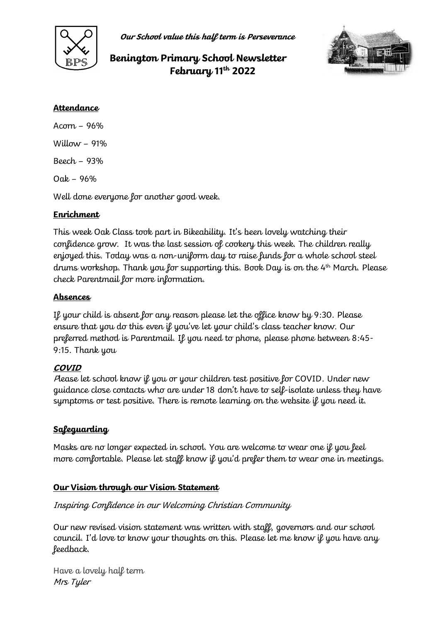

**Our School value this half term is Perseverance**

# **Benington Primary School Newsletter February 11th 2022**



#### **Attendance**

Acorn – 96% Willow  $-91%$ Beech – 93% Oak – 96% Well done everyone for another good week.

## **Enrichment**

This week Oak Class took part in Bikeability. It's been lovely watching their confidence grow. It was the last session of cookery this week. The children really enjoyed this. Today was a non-uniform day to raise funds for a whole school steel drums workshop. Thank you for supporting this. Book Day is on the 4 th March. Please check Parentmail for more information.

### **Absences**

If your child is absent for any reason please let the office know by 9:30. Please ensure that you do this even if you've let your child's class teacher know. Our preferred method is Parentmail. If you need to phone, please phone between 8:45- 9:15. Thank you

#### **COVID**

Please let school know if you or your children test positive for COVID. Under new guidance close contacts who are under 18 don't have to self-isolate unless they have symptoms or test positive. There is remote learning on the website if you need it.

#### **Safeguarding**

Masks are no longer expected in school. You are welcome to wear one if you feel more comfortable. Please let staff know if you'd prefer them to wear one in meetings.

#### **Our Vision through our Vision Statement**

#### Inspiring Confidence in our Welcoming Christian Community

Our new revised vision statement was written with staff, governors and our school council. I'd love to know your thoughts on this. Please let me know if you have any feedback.

Have a lovely half term Mrs Tyler